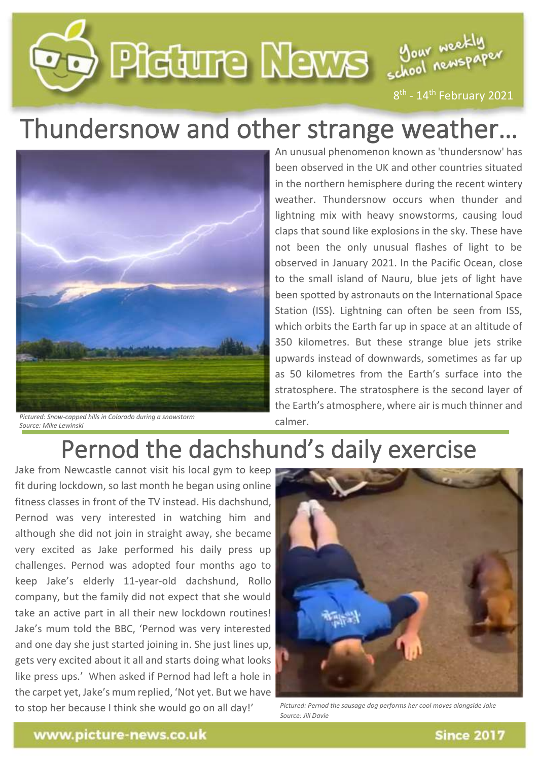

## Thundersnow and other strange weather...



*Pictured: Snow-capped hills in Colorado during a snowstorm Source: Mike Lewinski*

An unusual phenomenon known as 'thundersnow' has been observed in the UK and other countries situated in the northern hemisphere during the recent wintery weather. Thundersnow occurs when thunder and lightning mix with heavy snowstorms, causing loud claps that sound like explosions in the sky. These have not been the only unusual flashes of light to be observed in January 2021. In the Pacific Ocean, close to the small island of Nauru, blue jets of light have been spotted by astronauts on the International Space Station (ISS). Lightning can often be seen from ISS, which orbits the Earth far up in space at an altitude of 350 kilometres. But these strange blue jets strike upwards instead of downwards, sometimes as far up as 50 kilometres from the Earth's surface into the stratosphere. The stratosphere is the second layer of the Earth's atmosphere, where air is much thinner and calmer.

## Pernod the dachshund's daily exercise

Jake from Newcastle cannot visit his local gym to keep fit during lockdown, so last month he began using online<br>fitness classes in front of the TV instead. His dachshund, fitness classes in front of the TV instead. His dachshund, Pernod was very interested in watching him and although she did not join in straight away, she became very excited as Jake performed his daily press up challenges. Pernod was adopted four months ago to keep Jake's elderly 11-year-old dachshund, Rollo company, but the family did not expect that she would take an active part in all their new lockdown routines! Jake's mum told the BBC, 'Pernod was very interested and one day she just started joining in. She just lines up, gets very excited about it all and starts doing what looks like press ups.' When asked if Pernod had left a hole in the carpet yet, Jake's mum replied, 'Not yet. But we have to stop her because I think she would go on all day!'



*Pictured: Pernod the sausage dog performs her cool moves alongside Jake Source: Jill Davie*